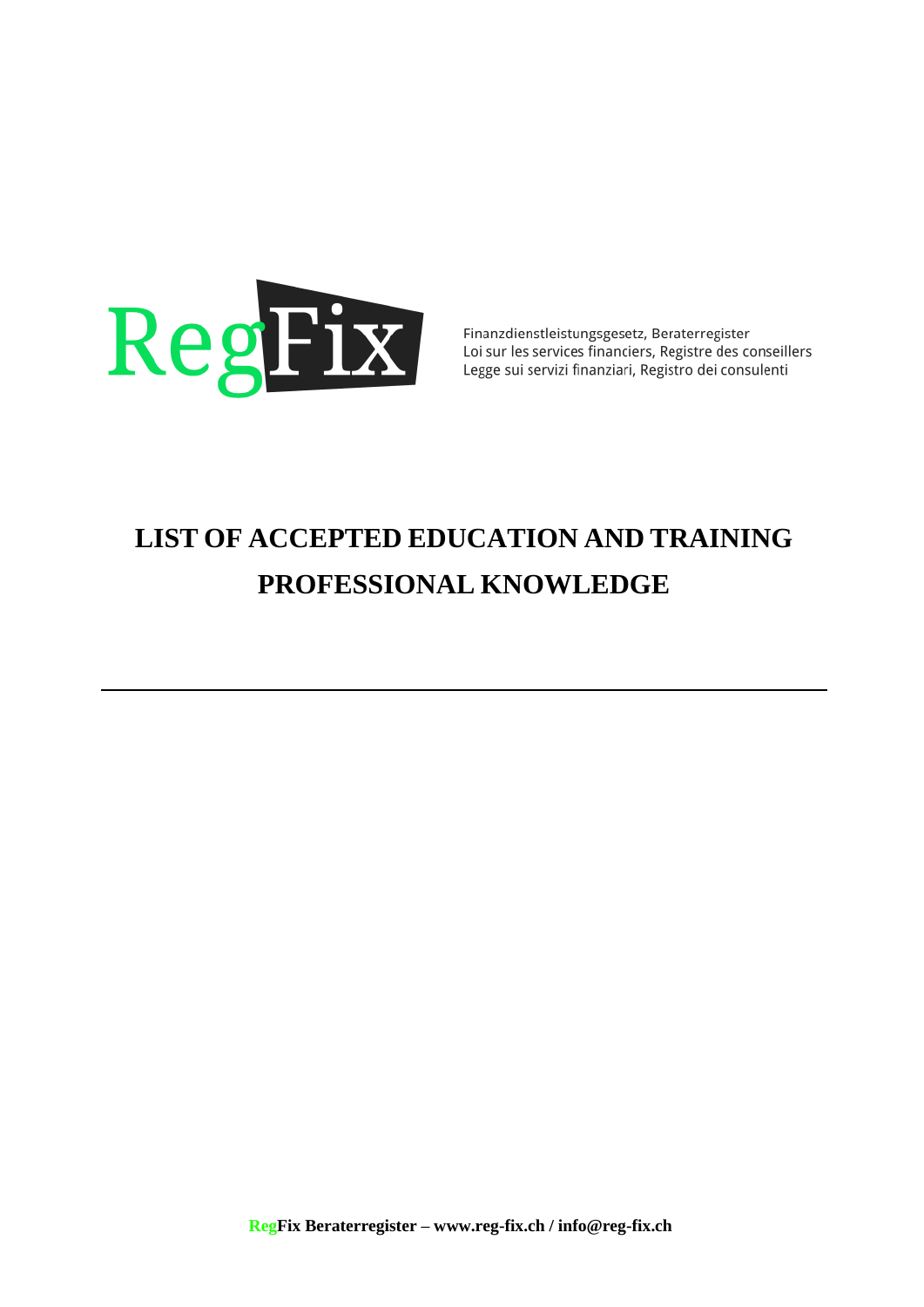

Finanzdienstleistungsgesetz, Beraterregister Loi sur les services financiers, Registre des conseillers<br>Legge sui servizi financiers, Registre des conseillers

## **LIST OF ACCEPTED EDUCATION AND TRAINING PROFESSIONAL KNOWLEDGE**

 **RegFix Beraterregister – [www.reg-fix.ch](http://www.reg-fix.ch/) [/ info@reg-fix.ch](mailto:info@reg-fix.ch)**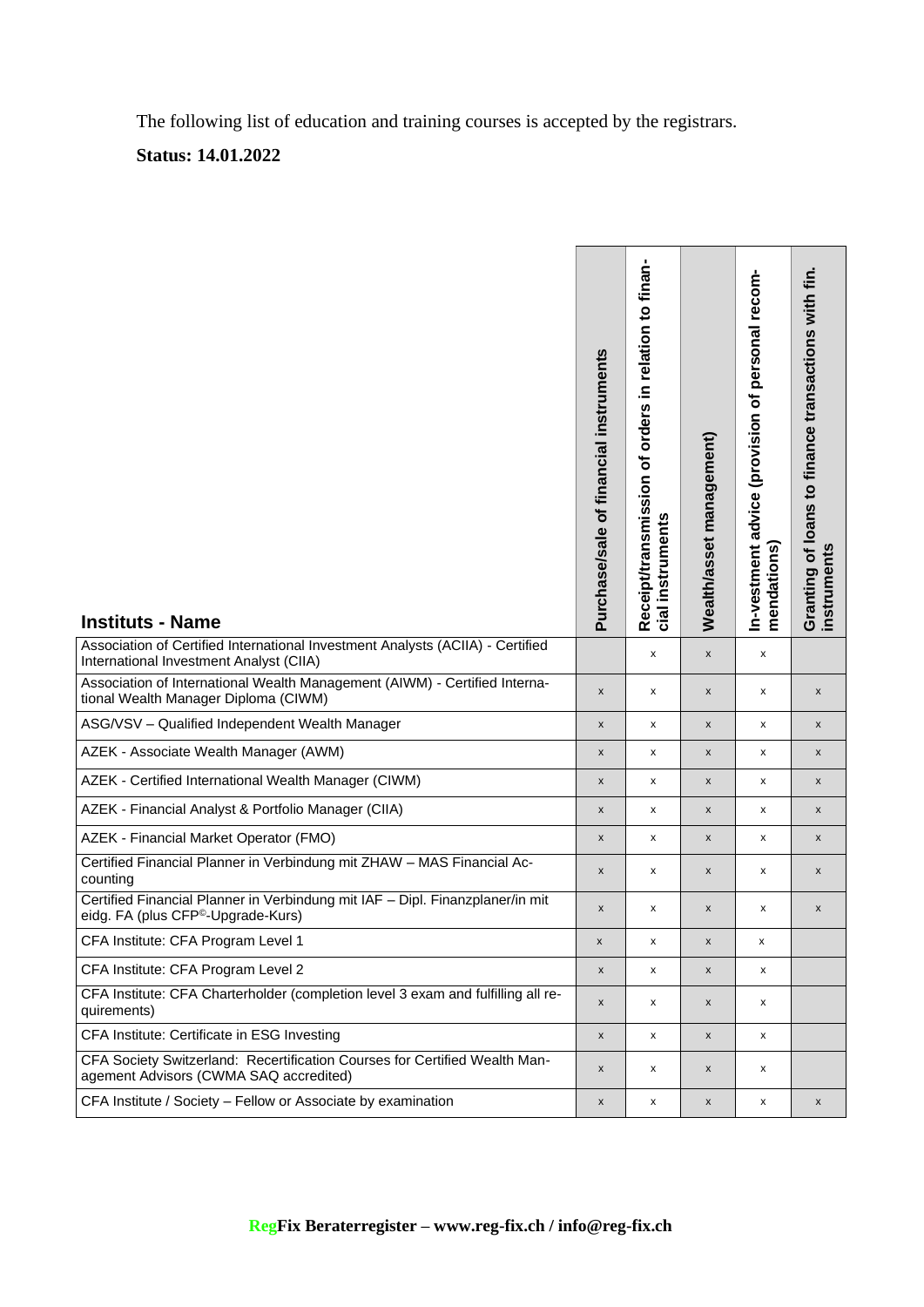The following list of education and training courses is accepted by the registrars.

## **Status: 14.01.2022**

| <b>Instituts - Name</b>                                                                                                         | Purchase/sale of financial instruments | Receipt/transmission of orders in relation to finan-<br>cial instruments | Wealth/asset management) | In-vestment advice (provision of personal recom-<br>mendations) | Granting of loans to finance transactions with fin.<br>instruments |
|---------------------------------------------------------------------------------------------------------------------------------|----------------------------------------|--------------------------------------------------------------------------|--------------------------|-----------------------------------------------------------------|--------------------------------------------------------------------|
| Association of Certified International Investment Analysts (ACIIA) - Certified<br>International Investment Analyst (CIIA)       |                                        | x                                                                        | $\pmb{\mathsf{x}}$       | x                                                               |                                                                    |
| Association of International Wealth Management (AIWM) - Certified Interna-<br>tional Wealth Manager Diploma (CIWM)              | X                                      | x                                                                        | $\pmb{\mathsf{x}}$       | x                                                               | X                                                                  |
| ASG/VSV - Qualified Independent Wealth Manager                                                                                  | $\pmb{\mathsf{x}}$                     | x                                                                        | $\pmb{\mathsf{x}}$       | x                                                               | X                                                                  |
| AZEK - Associate Wealth Manager (AWM)                                                                                           | x                                      | x                                                                        | $\pmb{\times}$           | x                                                               | X                                                                  |
| AZEK - Certified International Wealth Manager (CIWM)                                                                            | x                                      | x                                                                        | $\pmb{\mathsf{x}}$       | x                                                               | $\pmb{\mathsf{x}}$                                                 |
| AZEK - Financial Analyst & Portfolio Manager (CIIA)                                                                             | X                                      | x                                                                        | $\pmb{\mathsf{x}}$       | x                                                               | $\pmb{\mathsf{x}}$                                                 |
| AZEK - Financial Market Operator (FMO)                                                                                          | X                                      | x                                                                        | $\pmb{\mathsf{x}}$       | X                                                               | $\pmb{\mathsf{x}}$                                                 |
| Certified Financial Planner in Verbindung mit ZHAW - MAS Financial Ac-<br>counting                                              | X                                      | x                                                                        | X                        | x                                                               | $\pmb{\mathsf{x}}$                                                 |
| Certified Financial Planner in Verbindung mit IAF - Dipl. Finanzplaner/in mit<br>eidg. FA (plus CFP <sup>©</sup> -Upgrade-Kurs) | X                                      | x                                                                        | X                        | x                                                               | $\pmb{\mathsf{x}}$                                                 |
| CFA Institute: CFA Program Level 1                                                                                              | X                                      | x                                                                        | X                        | x                                                               |                                                                    |
| CFA Institute: CFA Program Level 2                                                                                              | X                                      | x                                                                        | $\pmb{\mathsf{x}}$       | x                                                               |                                                                    |
| CFA Institute: CFA Charterholder (completion level 3 exam and fulfilling all re-<br>quirements)                                 | X                                      | x                                                                        | X                        | x                                                               |                                                                    |
| CFA Institute: Certificate in ESG Investing                                                                                     | X                                      | x                                                                        | $\pmb{\mathsf{x}}$       | x                                                               |                                                                    |
| CFA Society Switzerland: Recertification Courses for Certified Wealth Man-<br>agement Advisors (CWMA SAQ accredited)            | x                                      | x                                                                        | X                        | x                                                               |                                                                    |
| CFA Institute / Society - Fellow or Associate by examination                                                                    | X                                      | x                                                                        | $\pmb{\mathsf{x}}$       | x                                                               | $\pmb{\mathsf{x}}$                                                 |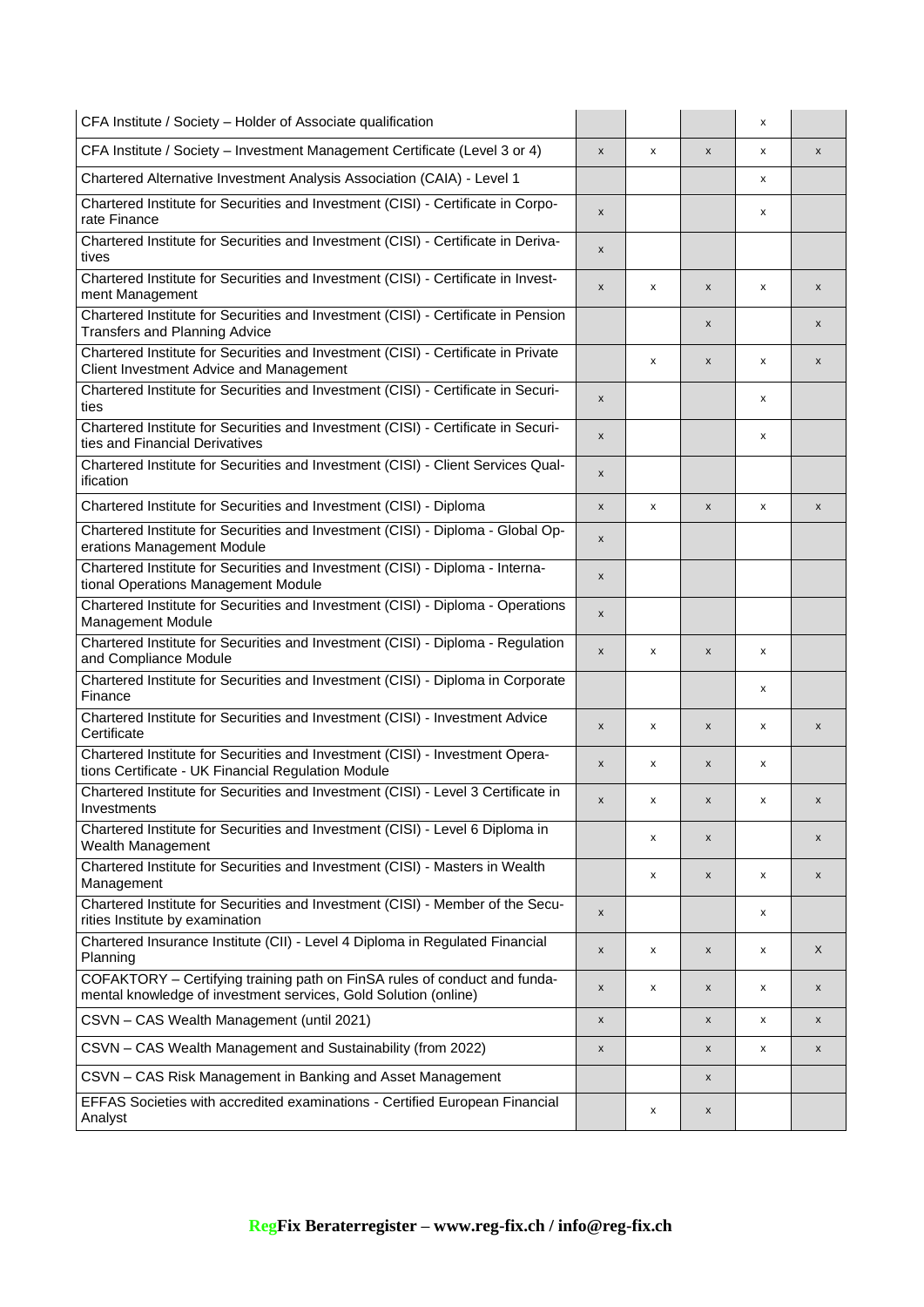| CFA Institute / Society - Holder of Associate qualification                                                                                  |   |   |                           | x |                    |
|----------------------------------------------------------------------------------------------------------------------------------------------|---|---|---------------------------|---|--------------------|
| CFA Institute / Society - Investment Management Certificate (Level 3 or 4)                                                                   | X | x | $\pmb{\times}$            | x | X                  |
| Chartered Alternative Investment Analysis Association (CAIA) - Level 1                                                                       |   |   |                           | x |                    |
| Chartered Institute for Securities and Investment (CISI) - Certificate in Corpo-<br>rate Finance                                             | x |   |                           | x |                    |
| Chartered Institute for Securities and Investment (CISI) - Certificate in Deriva-<br>tives                                                   | x |   |                           |   |                    |
| Chartered Institute for Securities and Investment (CISI) - Certificate in Invest-<br>ment Management                                         | X | x | $\pmb{\times}$            | X | $\pmb{\mathsf{x}}$ |
| Chartered Institute for Securities and Investment (CISI) - Certificate in Pension<br><b>Transfers and Planning Advice</b>                    |   |   | $\boldsymbol{\mathsf{x}}$ |   | $\pmb{\mathsf{x}}$ |
| Chartered Institute for Securities and Investment (CISI) - Certificate in Private<br>Client Investment Advice and Management                 |   | x | $\boldsymbol{\mathsf{x}}$ | x | $\pmb{\mathsf{x}}$ |
| Chartered Institute for Securities and Investment (CISI) - Certificate in Securi-<br>ties                                                    | X |   |                           | x |                    |
| Chartered Institute for Securities and Investment (CISI) - Certificate in Securi-<br>ties and Financial Derivatives                          | X |   |                           | x |                    |
| Chartered Institute for Securities and Investment (CISI) - Client Services Qual-<br>ification                                                | x |   |                           |   |                    |
| Chartered Institute for Securities and Investment (CISI) - Diploma                                                                           | X | x | $\pmb{\times}$            | X | $\pmb{\mathsf{x}}$ |
| Chartered Institute for Securities and Investment (CISI) - Diploma - Global Op-<br>erations Management Module                                | x |   |                           |   |                    |
| Chartered Institute for Securities and Investment (CISI) - Diploma - Interna-<br>tional Operations Management Module                         | X |   |                           |   |                    |
| Chartered Institute for Securities and Investment (CISI) - Diploma - Operations<br>Management Module                                         | x |   |                           |   |                    |
| Chartered Institute for Securities and Investment (CISI) - Diploma - Regulation<br>and Compliance Module                                     | X | x | $\boldsymbol{\mathsf{x}}$ | x |                    |
| Chartered Institute for Securities and Investment (CISI) - Diploma in Corporate<br>Finance                                                   |   |   |                           | x |                    |
| Chartered Institute for Securities and Investment (CISI) - Investment Advice<br>Certificate                                                  | x | x | $\boldsymbol{\mathsf{x}}$ | x | $\pmb{\mathsf{x}}$ |
| Chartered Institute for Securities and Investment (CISI) - Investment Opera-<br>tions Certificate - UK Financial Regulation Module           | x | x | $\boldsymbol{\mathsf{x}}$ | x |                    |
| Chartered Institute for Securities and Investment (CISI) - Level 3 Certificate in<br>Investments                                             | x | x | X                         | x | x                  |
| Chartered Institute for Securities and Investment (CISI) - Level 6 Diploma in<br>Wealth Management                                           |   | x | $\pmb{\times}$            |   | X                  |
| Chartered Institute for Securities and Investment (CISI) - Masters in Wealth<br>Management                                                   |   | x | $\boldsymbol{\mathsf{x}}$ | x | X                  |
| Chartered Institute for Securities and Investment (CISI) - Member of the Secu-<br>rities Institute by examination                            | X |   |                           | x |                    |
| Chartered Insurance Institute (CII) - Level 4 Diploma in Regulated Financial<br>Planning                                                     | X | x | $\pmb{\times}$            | x | X                  |
| COFAKTORY - Certifying training path on FinSA rules of conduct and funda-<br>mental knowledge of investment services, Gold Solution (online) | X | x | $\pmb{\times}$            | x | X                  |
| CSVN - CAS Wealth Management (until 2021)                                                                                                    | x |   | $\pmb{\times}$            | x | $\pmb{\mathsf{x}}$ |
| CSVN - CAS Wealth Management and Sustainability (from 2022)                                                                                  | x |   | X                         | x | X                  |
| CSVN - CAS Risk Management in Banking and Asset Management                                                                                   |   |   | X                         |   |                    |
| EFFAS Societies with accredited examinations - Certified European Financial<br>Analyst                                                       |   | x | $\pmb{\times}$            |   |                    |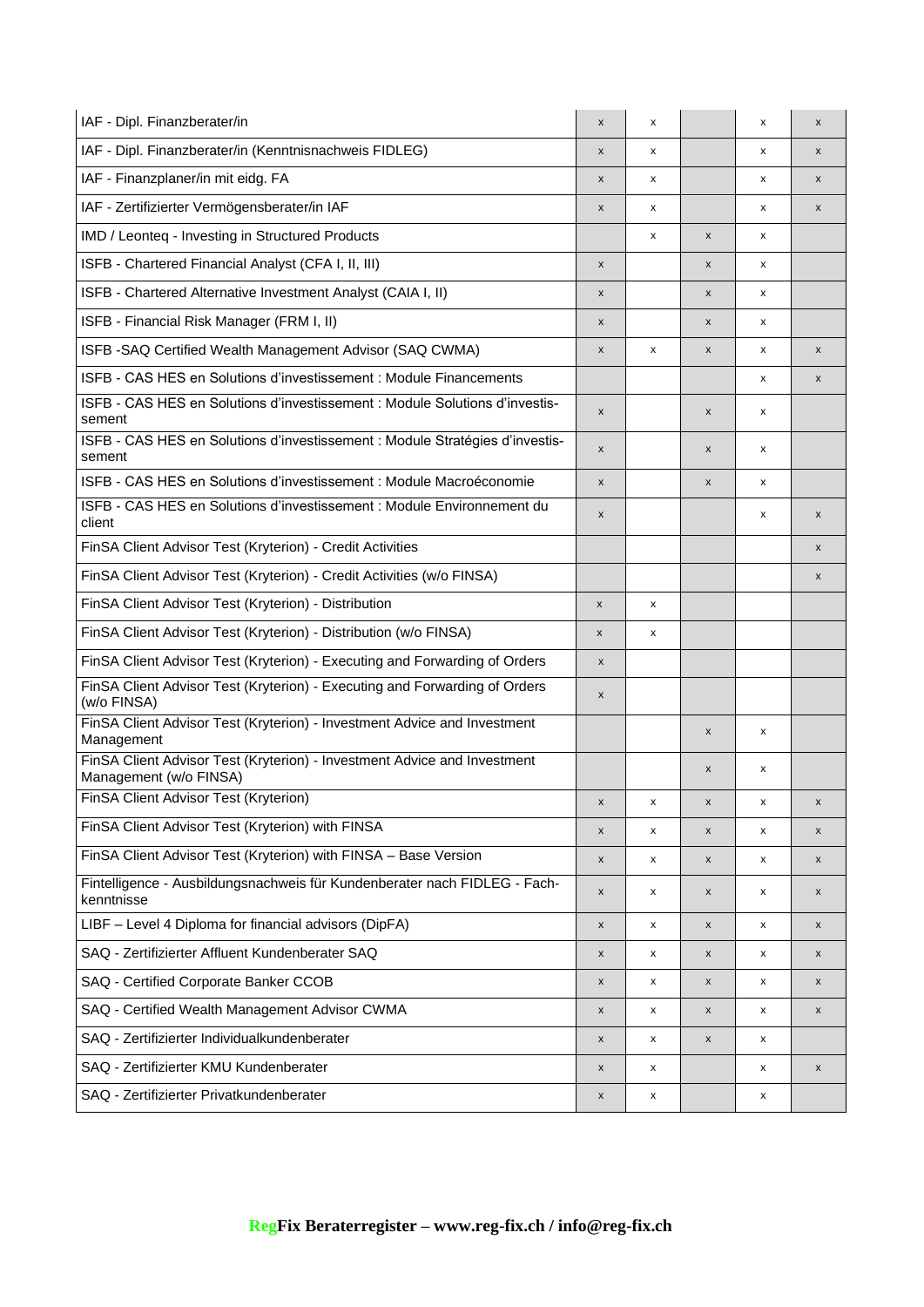| IAF - Dipl. Finanzberater/in                                                                       | X                  | x |                    | x | X                  |
|----------------------------------------------------------------------------------------------------|--------------------|---|--------------------|---|--------------------|
| IAF - Dipl. Finanzberater/in (Kenntnisnachweis FIDLEG)                                             | $\pmb{\times}$     | x |                    | x | $\pmb{\mathsf{x}}$ |
| IAF - Finanzplaner/in mit eidg. FA                                                                 | $\pmb{\mathsf{x}}$ | x |                    | x | $\pmb{\mathsf{x}}$ |
| IAF - Zertifizierter Vermögensberater/in IAF                                                       | $\pmb{\times}$     | x |                    | x | X                  |
| IMD / Leonteq - Investing in Structured Products                                                   |                    | x | X                  | x |                    |
| ISFB - Chartered Financial Analyst (CFA I, II, III)                                                | $\pmb{\times}$     |   | X                  | X |                    |
| ISFB - Chartered Alternative Investment Analyst (CAIA I, II)                                       | X                  |   | $\pmb{\mathsf{x}}$ | x |                    |
| ISFB - Financial Risk Manager (FRM I, II)                                                          | X                  |   | X                  | x |                    |
| ISFB - SAQ Certified Wealth Management Advisor (SAQ CWMA)                                          | X                  | x | X                  | x | X                  |
| ISFB - CAS HES en Solutions d'investissement : Module Financements                                 |                    |   |                    | x | X                  |
| ISFB - CAS HES en Solutions d'investissement : Module Solutions d'investis-<br>sement              | X                  |   | X                  | x |                    |
| ISFB - CAS HES en Solutions d'investissement : Module Stratégies d'investis-<br>sement             | $\pmb{\times}$     |   | X                  | x |                    |
| ISFB - CAS HES en Solutions d'investissement : Module Macroéconomie                                | $\pmb{\mathsf{x}}$ |   | $\pmb{\mathsf{x}}$ | x |                    |
| ISFB - CAS HES en Solutions d'investissement : Module Environnement du<br>client                   | X                  |   |                    | x | $\pmb{\mathsf{x}}$ |
| FinSA Client Advisor Test (Kryterion) - Credit Activities                                          |                    |   |                    |   | X                  |
| FinSA Client Advisor Test (Kryterion) - Credit Activities (w/o FINSA)                              |                    |   |                    |   | X                  |
| FinSA Client Advisor Test (Kryterion) - Distribution                                               | $\pmb{\times}$     | x |                    |   |                    |
| FinSA Client Advisor Test (Kryterion) - Distribution (w/o FINSA)                                   | x                  | x |                    |   |                    |
| FinSA Client Advisor Test (Kryterion) - Executing and Forwarding of Orders                         | X                  |   |                    |   |                    |
| FinSA Client Advisor Test (Kryterion) - Executing and Forwarding of Orders<br>(w/o FINSA)          | X                  |   |                    |   |                    |
| FinSA Client Advisor Test (Kryterion) - Investment Advice and Investment<br>Management             |                    |   | X                  | x |                    |
| FinSA Client Advisor Test (Kryterion) - Investment Advice and Investment<br>Management (w/o FINSA) |                    |   | X                  | x |                    |
| FinSA Client Advisor Test (Kryterion)                                                              | X                  | х | x                  | x | x                  |
| FinSA Client Advisor Test (Kryterion) with FINSA                                                   | $\pmb{\mathsf{x}}$ | x | $\pmb{\mathsf{x}}$ | x | X                  |
| FinSA Client Advisor Test (Kryterion) with FINSA - Base Version                                    | $\pmb{\mathsf{x}}$ | x | X                  | x | X                  |
| Fintelligence - Ausbildungsnachweis für Kundenberater nach FIDLEG - Fach-<br>kenntnisse            | X                  | х | X                  | x | x                  |
| LIBF - Level 4 Diploma for financial advisors (DipFA)                                              | X                  | x | X                  | x | X                  |
| SAQ - Zertifizierter Affluent Kundenberater SAQ                                                    | $\pmb{\mathsf{x}}$ | x | X                  | x | x                  |
| SAQ - Certified Corporate Banker CCOB                                                              | X                  | x | $\pmb{\mathsf{x}}$ | x | X                  |
| SAQ - Certified Wealth Management Advisor CWMA                                                     | X                  | x | X                  | X | x                  |
| SAQ - Zertifizierter Individualkundenberater                                                       | X                  | x | $\pmb{\times}$     | x |                    |
| SAQ - Zertifizierter KMU Kundenberater                                                             | X                  | x |                    | X | X                  |
| SAQ - Zertifizierter Privatkundenberater                                                           | X                  | x |                    | x |                    |